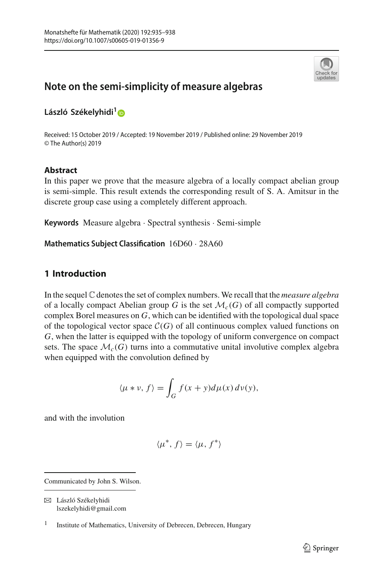

# **Note on the semi-simplicity of measure algebras**

**László Székelyhidi[1](http://orcid.org/0000-0001-8078-6426)**

Received: 15 October 2019 / Accepted: 19 November 2019 / Published online: 29 November 2019 © The Author(s) 2019

## **Abstract**

In this paper we prove that the measure algebra of a locally compact abelian group is semi-simple. This result extends the corresponding result of S. A. Amitsur in the discrete group case using a completely different approach.

**Keywords** Measure algebra · Spectral synthesis · Semi-simple

**Mathematics Subject Classification** 16D60 · 28A60

## **1 Introduction**

In the sequel C denotes the set of complex numbers. We recall that the *measure algebra* of a locally compact Abelian group *G* is the set  $\mathcal{M}_c(G)$  of all compactly supported complex Borel measures on *G*, which can be identified with the topological dual space of the topological vector space  $C(G)$  of all continuous complex valued functions on *G*, when the latter is equipped with the topology of uniform convergence on compact sets. The space  $\mathcal{M}_c(G)$  turns into a commutative unital involutive complex algebra when equipped with the convolution defined by

$$
\langle \mu * \nu, f \rangle = \int_G f(x + y) d\mu(x) d\nu(y),
$$

and with the involution

$$
\langle \mu^*, f \rangle = \langle \mu, f^* \rangle
$$

Communicated by John S. Wilson.

 $\boxtimes$  László Székelyhidi lszekelyhidi@gmail.com

<sup>&</sup>lt;sup>1</sup> Institute of Mathematics, University of Debrecen, Debrecen, Hungary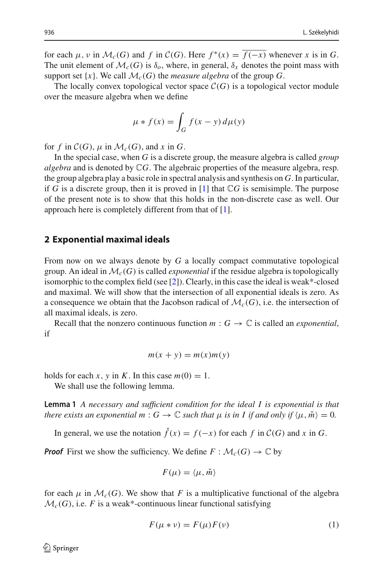for each  $\mu$ ,  $\nu$  in  $\mathcal{M}_c(G)$  and  $f$  in  $\mathcal{C}(G)$ . Here  $f^*(x) = \overline{f(-x)}$  whenever  $x$  is in  $G$ . The unit element of  $\mathcal{M}_c(G)$  is  $\delta_o$ , where, in general,  $\delta_x$  denotes the point mass with support set  $\{x\}$ . We call  $\mathcal{M}_c(G)$  the *measure algebra* of the group *G*.

The locally convex topological vector space  $C(G)$  is a topological vector module over the measure algebra when we define

$$
\mu * f(x) = \int_G f(x - y) d\mu(y)
$$

for *f* in  $\mathcal{C}(G)$ ,  $\mu$  in  $\mathcal{M}_c(G)$ , and *x* in *G*.

In the special case, when *G* is a discrete group, the measure algebra is called *group algebra* and is denoted by C*G*. The algebraic properties of the measure algebra, resp. the group algebra play a basic role in spectral analysis and synthesis on *G*. In particular, if *G* is a discrete group, then it is proved in  $[1]$  $[1]$  that  $\mathbb{C}G$  is semisimple. The purpose of the present note is to show that this holds in the non-discrete case as well. Our approach here is completely different from that of [\[1](#page-3-0)].

#### **2 Exponential maximal ideals**

From now on we always denote by *G* a locally compact commutative topological group. An ideal in  $\mathcal{M}_c(G)$  is called *exponential* if the residue algebra is topologically isomorphic to the complex field (see [\[2\]](#page-3-1)). Clearly, in this case the ideal is weak\*-closed and maximal. We will show that the intersection of all exponential ideals is zero. As a consequence we obtain that the Jacobson radical of  $\mathcal{M}_c(G)$ , i.e. the intersection of all maximal ideals, is zero.

Recall that the nonzero continuous function  $m: G \to \mathbb{C}$  is called an *exponential*, if

$$
m(x + y) = m(x)m(y)
$$

holds for each *x*, *y* in *K*. In this case  $m(0) = 1$ .

<span id="page-1-1"></span>We shall use the following lemma.

**Lemma 1** *A necessary and sufficient condition for the ideal I is exponential is that there exists an exponential*  $m: G \to \mathbb{C}$  *such that*  $\mu$  *is in I if and only if*  $\langle \mu, \check{m} \rangle = 0$ *.* 

In general, we use the notation  $\check{f}(x) = f(-x)$  for each  $f$  in  $\mathcal{C}(G)$  and  $x$  in  $G$ .

*Proof* First we show the sufficiency. We define  $F : \mathcal{M}_c(G) \to \mathbb{C}$  by

$$
F(\mu) = \langle \mu, \check{m} \rangle
$$

for each  $\mu$  in  $\mathcal{M}_c(G)$ . We show that *F* is a multiplicative functional of the algebra  $\mathcal{M}_c(G)$ , i.e. *F* is a weak\*-continuous linear functional satisfying

<span id="page-1-0"></span>
$$
F(\mu * \nu) = F(\mu)F(\nu)
$$
 (1)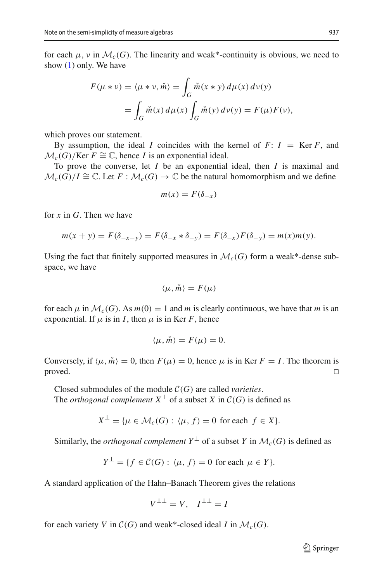for each  $\mu$ ,  $\nu$  in  $\mathcal{M}_c(G)$ . The linearity and weak\*-continuity is obvious, we need to show [\(1\)](#page-1-0) only. We have

$$
F(\mu * \nu) = \langle \mu * \nu, \check{m} \rangle = \int_G \check{m}(x * y) d\mu(x) d\nu(y)
$$
  
= 
$$
\int_G \check{m}(x) d\mu(x) \int_G \check{m}(y) d\nu(y) = F(\mu) F(\nu),
$$

which proves our statement.

By assumption, the ideal *I* coincides with the kernel of  $F: I = \text{Ker } F$ , and  $M_c(G)/\text{Ker } F \cong \mathbb{C}$ , hence *I* is an exponential ideal.

To prove the converse, let *I* be an exponential ideal, then *I* is maximal and  $\mathcal{M}_c(G)/I \cong \mathbb{C}$ . Let  $F : \mathcal{M}_c(G) \to \mathbb{C}$  be the natural homomorphism and we define

$$
m(x) = F(\delta_{-x})
$$

for *x* in *G*. Then we have

$$
m(x + y) = F(\delta_{-x-y}) = F(\delta_{-x} * \delta_{-y}) = F(\delta_{-x})F(\delta_{-y}) = m(x)m(y).
$$

Using the fact that finitely supported measures in  $\mathcal{M}_{c}(G)$  form a weak\*-dense subspace, we have

$$
\langle \mu, \check{m} \rangle = F(\mu)
$$

for each  $\mu$  in  $\mathcal{M}_c(G)$ . As  $m(0) = 1$  and *m* is clearly continuous, we have that *m* is an exponential. If  $\mu$  is in *I*, then  $\mu$  is in Ker *F*, hence

$$
\langle \mu, \check{m} \rangle = F(\mu) = 0.
$$

Conversely, if  $\langle \mu, \check{m} \rangle = 0$ , then  $F(\mu) = 0$ , hence  $\mu$  is in Ker  $F = I$ . The theorem is  $\Box$ 

Closed submodules of the module *C*(*G*) are called *varieties*. The *orthogonal complement*  $X^{\perp}$  of a subset *X* in  $C(G)$  is defined as

$$
X^{\perp} = \{ \mu \in \mathcal{M}_c(G) : \langle \mu, f \rangle = 0 \text{ for each } f \in X \}.
$$

Similarly, the *orthogonal complement*  $Y^{\perp}$  of a subset *Y* in  $\mathcal{M}_c(G)$  is defined as

$$
Y^{\perp} = \{ f \in \mathcal{C}(G) : \langle \mu, f \rangle = 0 \text{ for each } \mu \in Y \}.
$$

A standard application of the Hahn–Banach Theorem gives the relations

$$
V^{\perp \perp} = V, \quad I^{\perp \perp} = I
$$

for each variety *V* in  $C(G)$  and weak\*-closed ideal *I* in  $\mathcal{M}_c(G)$ .